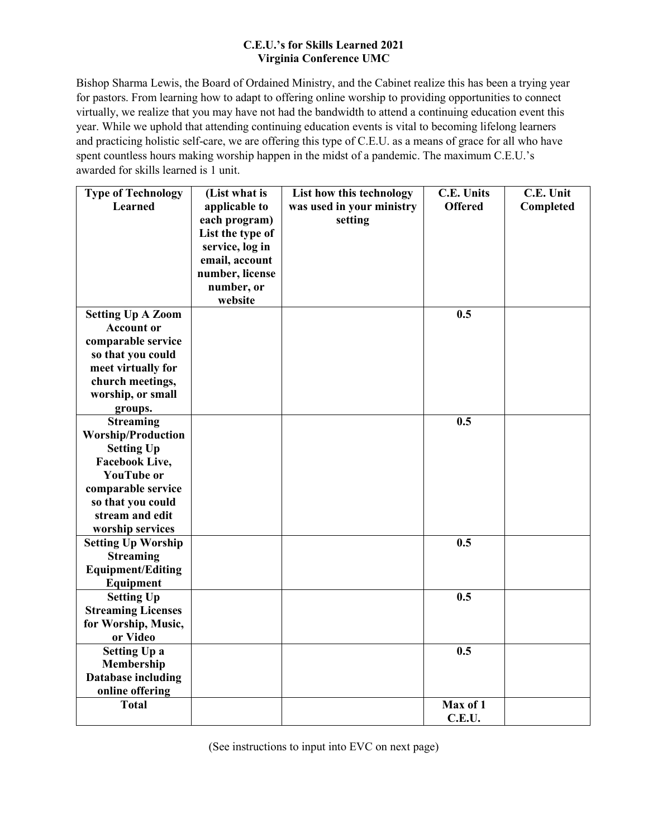## **C.E.U.'s for Skills Learned 2021 Virginia Conference UMC**

Bishop Sharma Lewis, the Board of Ordained Ministry, and the Cabinet realize this has been a trying year for pastors. From learning how to adapt to offering online worship to providing opportunities to connect virtually, we realize that you may have not had the bandwidth to attend a continuing education event this year. While we uphold that attending continuing education events is vital to becoming lifelong learners and practicing holistic self-care, we are offering this type of C.E.U. as a means of grace for all who have spent countless hours making worship happen in the midst of a pandemic. The maximum C.E.U.'s awarded for skills learned is 1 unit.

| <b>Type of Technology</b> | (List what is    | List how this technology  | <b>C.E. Units</b> | C.E. Unit |
|---------------------------|------------------|---------------------------|-------------------|-----------|
| <b>Learned</b>            | applicable to    | was used in your ministry | <b>Offered</b>    | Completed |
|                           | each program)    | setting                   |                   |           |
|                           | List the type of |                           |                   |           |
|                           | service, log in  |                           |                   |           |
|                           | email, account   |                           |                   |           |
|                           | number, license  |                           |                   |           |
|                           | number, or       |                           |                   |           |
|                           | website          |                           |                   |           |
| <b>Setting Up A Zoom</b>  |                  |                           | 0.5               |           |
| <b>Account or</b>         |                  |                           |                   |           |
| comparable service        |                  |                           |                   |           |
| so that you could         |                  |                           |                   |           |
| meet virtually for        |                  |                           |                   |           |
| church meetings,          |                  |                           |                   |           |
| worship, or small         |                  |                           |                   |           |
| groups.                   |                  |                           |                   |           |
| <b>Streaming</b>          |                  |                           | 0.5               |           |
| <b>Worship/Production</b> |                  |                           |                   |           |
| <b>Setting Up</b>         |                  |                           |                   |           |
| <b>Facebook Live,</b>     |                  |                           |                   |           |
| <b>YouTube or</b>         |                  |                           |                   |           |
| comparable service        |                  |                           |                   |           |
| so that you could         |                  |                           |                   |           |
| stream and edit           |                  |                           |                   |           |
| worship services          |                  |                           |                   |           |
| <b>Setting Up Worship</b> |                  |                           | 0.5               |           |
| <b>Streaming</b>          |                  |                           |                   |           |
| <b>Equipment/Editing</b>  |                  |                           |                   |           |
| Equipment                 |                  |                           |                   |           |
| <b>Setting Up</b>         |                  |                           | 0.5               |           |
| <b>Streaming Licenses</b> |                  |                           |                   |           |
| for Worship, Music,       |                  |                           |                   |           |
| or Video                  |                  |                           |                   |           |
| <b>Setting Up a</b>       |                  |                           | 0.5               |           |
| Membership                |                  |                           |                   |           |
| <b>Database including</b> |                  |                           |                   |           |
| online offering           |                  |                           |                   |           |
| <b>Total</b>              |                  |                           | Max of 1          |           |
|                           |                  |                           | C.E.U.            |           |

(See instructions to input into EVC on next page)